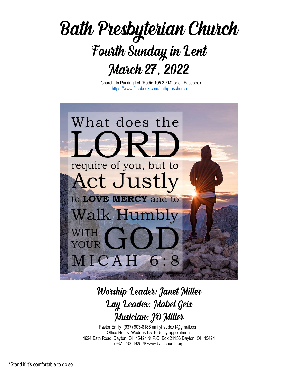

In Church, In Parking Lot (Radio 105.3 FM) or on Facebook https://www.facebook.com/bathpreschurch



# Worship Leader: Janet Miller Lay Leader: Mabel Geis Musician: JO Miller

Pastor Emily: (937) 903-8188 emilyhaddox1@gmail.com Office Hours: Wednesday 10-5; by appointment 4624 Bath Road, Dayton, OH 45424 P.O. Box 24156 Dayton, OH 45424 (937) 233-6925 www.bathchurch.org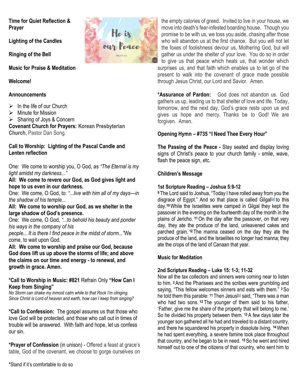Time for Quiet Reflection & Prayer

Lighting of the Candles

Ringing of the Bell

Music for Praise & Meditation

Welcome!

## **Announcements**

- $\triangleright$  In the life of our Church
- $\triangleright$  Minute for Mission
- $\triangleright$  Sharing of Joys & Concern

Covenant Church for Prayers: Korean Presbyterian Church, Pastor Dan Song.

#### Call to Worship: Lighting of the Pascal Candle and Lenten reflection

One: We come to worship you, O God, as "The Eternal is my light amidst my darkness..."

All: We come to revere our God, as God gives light and hope to us even in our darkness.

One: We come, O God, to: "...live with him all of my days—in the shadow of his temple...

#### All: We come to worship our God, as we shelter in the large shadow of God's presence.

One: We come, O God, "...to behold his beauty and ponder his ways in the company of his

people... It is there I find peace in the midst of storm..."We come, to wait upon God.

All: We come to worship and praise our God, because God does lift us up above the storms of life; and above the claims on our time and energy - to renewal, and growth in grace. Amen.

#### \*Call to Worship in Music: #821 Refrain Only "How Can I Keep from Singing"

No Storm can shake my inmost calm while to that Rock I'm clinging. Since Christ is Lord of heaven and earth, how can I keep from singing?

\*Call to Confession: The gospel assures us that those who love God will be protected, and those who call out in times of trouble will be answered. With faith and hope, let us confess our sin.

\*Prayer of Confession (in unison) - Offered a feast at grace's table, God of the covenant, we choose to gorge ourselves on



\*Assurance of Pardon: God does not abandon us. God gathers us up, leading us to that shelter of love and life. Today, tomorrow, and the next day, God's grace rests upon us and gives us hope and mercy. Thanks be to God! We are forgiven. Amen.

## Opening Hymn – #735 "I Need Thee Every Hour"

The Passing of the Peace - Stay seated and display loving signs of Christ's peace to your church family - smile, wave, flash the peace sign, etc.

### Children's Message

#### 1st Scripture Reading – Joshua 5:9-12

<sup>9</sup>The Lord said to Joshua, "Today I have rolled away from you the disgrace of Egypt." And so that place is called Gilgal<sup>[a]</sup> to this day.10 While the Israelites were camped in Gilgal they kept the passover in the evening on the fourteenth day of the month in the plains of Jericho. 11 On the day after the passover, on that very day, they ate the produce of the land, unleavened cakes and parched grain. 12 The manna ceased on the day they ate the produce of the land, and the Israelites no longer had manna; they ate the crops of the land of Canaan that year.

#### Music for Meditation

#### 2nd Scripture Reading – Luke 15: 1-3; 11-32

Now all the tax collectors and sinners were coming near to listen to him. 2 And the Pharisees and the scribes were grumbling and saying, "This fellow welcomes sinners and eats with them." 3 So he told them this parable: <sup>11</sup> Then Jesus<sup>[b]</sup> said, "There was a man who had two sons. <sup>12</sup> The younger of them said to his father, 'Father, give me the share of the property that will belong to me.' So he divided his property between them. 13 A few days later the younger son gathered all he had and traveled to a distant country, and there he squandered his property in dissolute living. 14 When he had spent everything, a severe famine took place throughout that country, and he began to be in need. 15 So he went and hired himself out to one of the citizens of that country, who sent him to